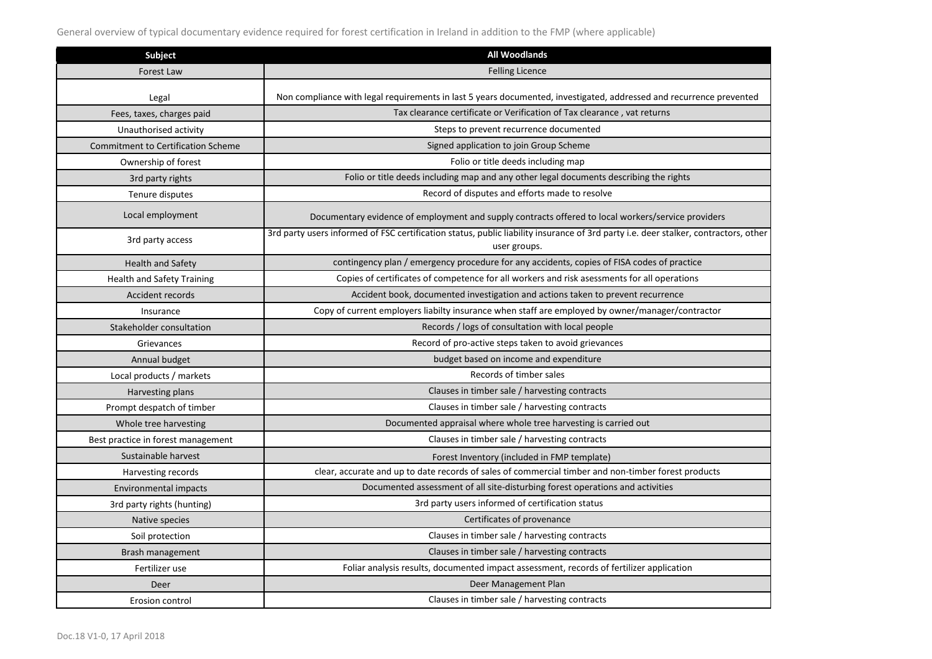General overview of typical documentary evidence required for forest certification in Ireland in addition to the FMP (where applicable)

| <b>Subject</b>                            | <b>All Woodlands</b>                                                                                                                                                                           |
|-------------------------------------------|------------------------------------------------------------------------------------------------------------------------------------------------------------------------------------------------|
| <b>Forest Law</b>                         | <b>Felling Licence</b>                                                                                                                                                                         |
|                                           |                                                                                                                                                                                                |
| Legal                                     | Non compliance with legal requirements in last 5 years documented, investigated, addressed and recurrence prevented<br>Tax clearance certificate or Verification of Tax clearance, vat returns |
| Fees, taxes, charges paid                 |                                                                                                                                                                                                |
| Unauthorised activity                     | Steps to prevent recurrence documented                                                                                                                                                         |
| <b>Commitment to Certification Scheme</b> | Signed application to join Group Scheme                                                                                                                                                        |
| Ownership of forest                       | Folio or title deeds including map                                                                                                                                                             |
| 3rd party rights                          | Folio or title deeds including map and any other legal documents describing the rights                                                                                                         |
| Tenure disputes                           | Record of disputes and efforts made to resolve                                                                                                                                                 |
| Local employment                          | Documentary evidence of employment and supply contracts offered to local workers/service providers                                                                                             |
| 3rd party access                          | 3rd party users informed of FSC certification status, public liability insurance of 3rd party i.e. deer stalker, contractors, other<br>user groups.                                            |
| <b>Health and Safety</b>                  | contingency plan / emergency procedure for any accidents, copies of FISA codes of practice                                                                                                     |
| <b>Health and Safety Training</b>         | Copies of certificates of competence for all workers and risk asessments for all operations                                                                                                    |
| <b>Accident records</b>                   | Accident book, documented investigation and actions taken to prevent recurrence                                                                                                                |
| Insurance                                 | Copy of current employers liabilty insurance when staff are employed by owner/manager/contractor                                                                                               |
| Stakeholder consultation                  | Records / logs of consultation with local people                                                                                                                                               |
| Grievances                                | Record of pro-active steps taken to avoid grievances                                                                                                                                           |
| Annual budget                             | budget based on income and expenditure                                                                                                                                                         |
| Local products / markets                  | Records of timber sales                                                                                                                                                                        |
| Harvesting plans                          | Clauses in timber sale / harvesting contracts                                                                                                                                                  |
| Prompt despatch of timber                 | Clauses in timber sale / harvesting contracts                                                                                                                                                  |
| Whole tree harvesting                     | Documented appraisal where whole tree harvesting is carried out                                                                                                                                |
| Best practice in forest management        | Clauses in timber sale / harvesting contracts                                                                                                                                                  |
| Sustainable harvest                       | Forest Inventory (included in FMP template)                                                                                                                                                    |
| Harvesting records                        | clear, accurate and up to date records of sales of commercial timber and non-timber forest products                                                                                            |
| Environmental impacts                     | Documented assessment of all site-disturbing forest operations and activities                                                                                                                  |
| 3rd party rights (hunting)                | 3rd party users informed of certification status                                                                                                                                               |
| Native species                            | Certificates of provenance                                                                                                                                                                     |
| Soil protection                           | Clauses in timber sale / harvesting contracts                                                                                                                                                  |
| Brash management                          | Clauses in timber sale / harvesting contracts                                                                                                                                                  |
| Fertilizer use                            | Foliar analysis results, documented impact assessment, records of fertilizer application                                                                                                       |
| Deer                                      | Deer Management Plan                                                                                                                                                                           |
| Erosion control                           | Clauses in timber sale / harvesting contracts                                                                                                                                                  |